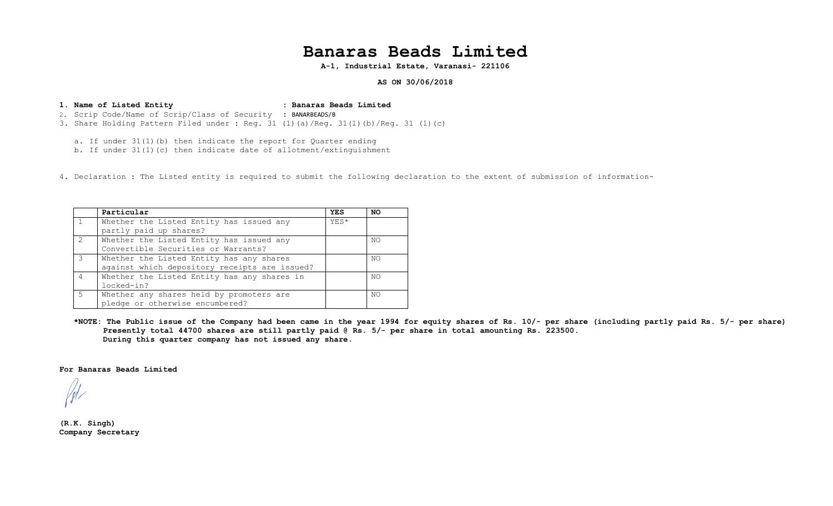## **Banaras Beads Limited**

**A-1, Industrial Estate, Varanasi- 221106**

**AS ON 30/06/2018**

**1. Name of Listed Entity : Banaras Beads Limited**  2. Scrip Code/Name of Scrip/Class of Security : BANARBEADS/B 3. Share Holding Pattern Filed under : Reg. 31 (1)(a)/Reg. 31(1)(b)/Reg. 31 (1)(c)

a. If under 31(1)(b) then indicate the report for Quarter ending

b. If under  $31(1)(c)$  then indicate date of allotment/extinguishment

4. Declaration : The Listed entity is required to submit the following declaration to the extent of submission of information-

|                | Particular                                    | <b>YES</b> | NO  |
|----------------|-----------------------------------------------|------------|-----|
|                | Whether the Listed Entity has issued any      | YES*       |     |
|                | partly paid up shares?                        |            |     |
| $\overline{2}$ | Whether the Listed Entity has issued any      |            | NO  |
|                | Convertible Securities or Warrants?           |            |     |
| $\mathcal{R}$  | Whether the Listed Entity has any shares      |            | NO  |
|                | against which depository receipts are issued? |            |     |
| $\overline{4}$ | Whether the Listed Entity has any shares in   |            | NO. |
|                | locked-in?                                    |            |     |
| $5^{\circ}$    | Whether any shares held by promoters are      |            | NO  |
|                | pledge or otherwise encumbered?               |            |     |

**\*NOTE: The Public issue of the Company had been came in the year 1994 for equity shares of Rs. 10/- per share (including partly paid Rs. 5/- per share) Presently total 44700 shares are still partly paid @ Rs. 5/- per share in total amounting Rs. 223500. During this quarter company has not issued any share.** 

**For Banaras Beads Limited** 

**(R.K. Singh) Company Secretary**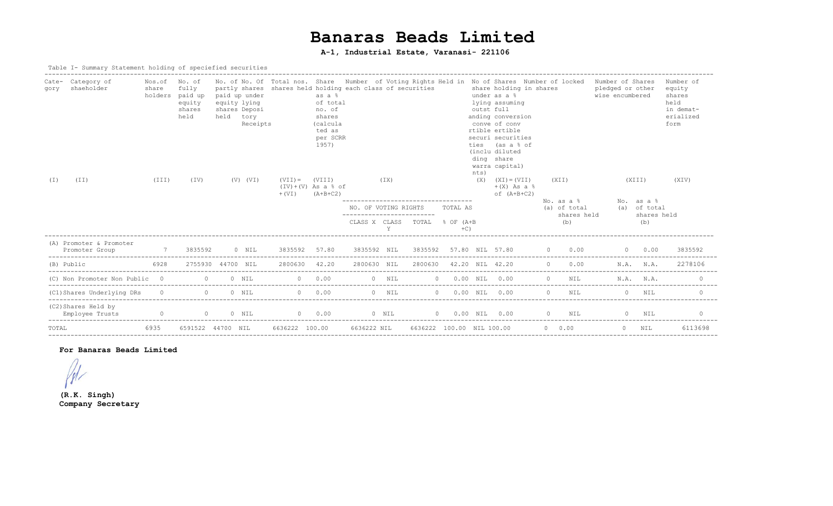# **Banaras Beads Limited**

## **A-1, Industrial Estate, Varanasi- 221106**

#### Table I- Summary Statement holding of speciefied securities

| Category of<br>Cate-<br>shaeholder<br>gory<br>(TI)<br>(I) | Nos.of<br>share<br>holders<br>(III) | No. of<br>fully<br>paid up<br>equity<br>shares<br>held<br>(TV) | paid up under<br>equity lying<br>shares Deposi<br>held | tory<br>Receipts<br>$(V)$ $(VI)$ | $(VII) =$<br>$+$ (VI) | as a %<br>of total<br>no. of<br>shares<br>(calcula<br>ted as<br>per SCRR<br>1957)<br>(VIII)<br>$(IV)+(V)$ As a $\delta$ of<br>$(A+B+C2)$ | partly shares shares held holding each class of securities<br>(TX) |         |                               |                   | nts)<br>(X) | No. of No. Of Total nos. Share Number of Voting Rights Held in No of Shares Number of locked<br>share holding in shares<br>under as a %<br>lying assuming<br>outst full<br>anding conversion<br>conve of conv<br>rtible ertible<br>securi securities<br>ties (as a % of<br>(inclu diluted<br>ding share<br>warra capital)<br>$(XI) = (VII)$<br>$+(X)$ As a $%$<br>of $(A+B+C2)$ | (XII) |                              | Number of Shares<br>pledged or other<br>wise encumbered<br>(XIII) |                            | Number of<br>equity<br>shares<br>held<br>in demat-<br>erialized<br>form<br>(XIV) |
|-----------------------------------------------------------|-------------------------------------|----------------------------------------------------------------|--------------------------------------------------------|----------------------------------|-----------------------|------------------------------------------------------------------------------------------------------------------------------------------|--------------------------------------------------------------------|---------|-------------------------------|-------------------|-------------|---------------------------------------------------------------------------------------------------------------------------------------------------------------------------------------------------------------------------------------------------------------------------------------------------------------------------------------------------------------------------------|-------|------------------------------|-------------------------------------------------------------------|----------------------------|----------------------------------------------------------------------------------|
|                                                           |                                     |                                                                |                                                        |                                  |                       |                                                                                                                                          | NO. OF VOTING RIGHTS                                               |         |                               | TOTAL AS          |             |                                                                                                                                                                                                                                                                                                                                                                                 |       | $No. as a 8$<br>(a) of total |                                                                   | No. as a %<br>(a) of total |                                                                                  |
|                                                           |                                     |                                                                |                                                        |                                  |                       |                                                                                                                                          | ------------------------                                           | Y       | CLASS X CLASS TOTAL % OF (A+B | $+C$ )            |             |                                                                                                                                                                                                                                                                                                                                                                                 |       | shares held<br>(b)           |                                                                   | shares held<br>(b)         |                                                                                  |
| (A) Promoter & Promoter<br>Promoter Group                 | $\overline{7}$                      | 3835592                                                        |                                                        | $0$ NIL                          | 3835592 57.80         |                                                                                                                                          |                                                                    |         |                               |                   |             | 3835592 NIL 3835592 57.80 NIL 57.80 0 0.00                                                                                                                                                                                                                                                                                                                                      |       |                              |                                                                   | $0 \t 0.00$                | 3835592                                                                          |
| (B) Public                                                | 6928                                |                                                                | 2755930 44700 NIL                                      |                                  | 2800630 42.20         |                                                                                                                                          | 2800630 NIL                                                        |         | 2800630 42.20 NIL 42.20       |                   |             |                                                                                                                                                                                                                                                                                                                                                                                 |       | $0 \qquad 0.00$              |                                                                   | N.A. N.A.                  | 2278106                                                                          |
| (C) Non Promoter Non Public 0                             |                                     |                                                                | $\Omega$                                               | $0$ NIL                          | $0 \t 0.00$           |                                                                                                                                          |                                                                    | $0$ NIL |                               | $0$ 0.00 NIL 0.00 |             |                                                                                                                                                                                                                                                                                                                                                                                 |       | $0$ NIL                      |                                                                   | N.A. N.A.                  |                                                                                  |
| (C1) Shares Underlying DRs                                |                                     | $\begin{matrix} 0 & 0 & 0 & N \end{matrix}$                    |                                                        |                                  | $0 \t 0.00$           |                                                                                                                                          |                                                                    | $0$ NIL |                               | $0$ 0.00 NIL 0.00 |             |                                                                                                                                                                                                                                                                                                                                                                                 |       | $\Omega$<br>NTT.             |                                                                   | $0$ NTT                    |                                                                                  |
| (C2) Shares Held by<br>Employee Trusts                    |                                     |                                                                |                                                        |                                  |                       |                                                                                                                                          |                                                                    |         |                               |                   |             | 0 0 0 NIL 0 0.00 0 NIL 0 0.00 NIL 0.00 0 NIL 0 NIL 0 NIL                                                                                                                                                                                                                                                                                                                        |       |                              |                                                                   |                            |                                                                                  |
| TOTAL                                                     | 6935                                | 6591522 44700 NIL                                              |                                                        |                                  | 6636222 100.00        |                                                                                                                                          | 6636222 NIL                                                        |         | 6636222 100.00 NIL 100.00     |                   |             |                                                                                                                                                                                                                                                                                                                                                                                 |       | $0 \t 0.00$                  |                                                                   | $0$ NTL                    | 6113698                                                                          |

#### **For Banaras Beads Limited**

 $/$ 

**(R.K. Singh) Company Secretary**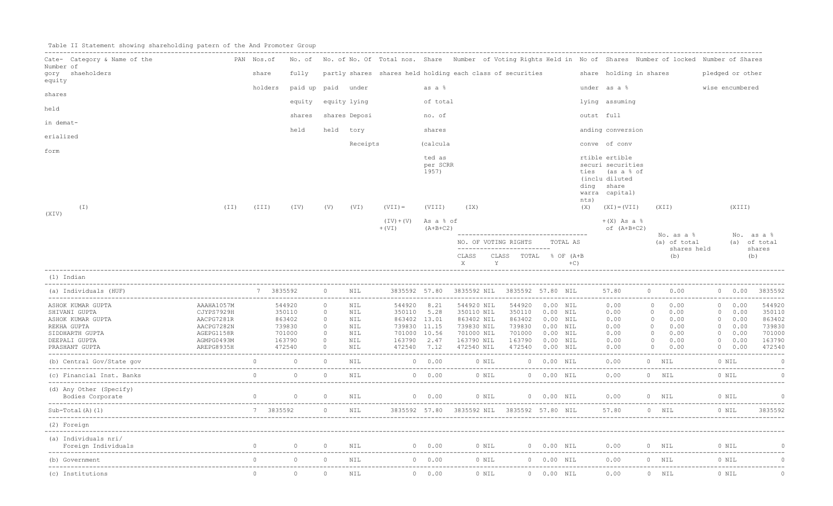|  |  |  |  | Table II Statement showing shareholding patern of the And Promoter Group |  |  |  |  |  |  |
|--|--|--|--|--------------------------------------------------------------------------|--|--|--|--|--|--|
|--|--|--|--|--------------------------------------------------------------------------|--|--|--|--|--|--|

| Cate- Category & Name of the                | PAN Nos.of               |                |                                   |                    |               | No. of No. of No. Of Total nos. Share Number of Voting Rights Held in No of Shares Number of locked Number of Shares |                             |                                             |                                                                                      |                                      |              |                                                                                                          |                                                       |                            |                  |                            |                            |
|---------------------------------------------|--------------------------|----------------|-----------------------------------|--------------------|---------------|----------------------------------------------------------------------------------------------------------------------|-----------------------------|---------------------------------------------|--------------------------------------------------------------------------------------|--------------------------------------|--------------|----------------------------------------------------------------------------------------------------------|-------------------------------------------------------|----------------------------|------------------|----------------------------|----------------------------|
| Number of<br>gory shaeholders               |                          | share          | fully                             |                    |               | partly shares shares held holding each class of securities                                                           |                             |                                             |                                                                                      |                                      |              | share holding in shares                                                                                  |                                                       |                            | pledged or other |                            |                            |
| equity                                      |                          | holders        | paid up paid under                |                    |               |                                                                                                                      | as a %                      |                                             |                                                                                      |                                      |              | under as a %                                                                                             |                                                       |                            | wise encumbered  |                            |                            |
| shares                                      |                          |                | equity                            |                    | equity lying  |                                                                                                                      | of total                    |                                             |                                                                                      |                                      |              | lying assuming                                                                                           |                                                       |                            |                  |                            |                            |
| held                                        |                          |                | shares                            |                    | shares Deposi |                                                                                                                      | no. of                      |                                             |                                                                                      |                                      |              | outst full                                                                                               |                                                       |                            |                  |                            |                            |
| in demat-                                   |                          |                | held                              |                    | held tory     |                                                                                                                      | shares                      |                                             |                                                                                      |                                      |              | anding conversion                                                                                        |                                                       |                            |                  |                            |                            |
| erialized                                   |                          |                |                                   |                    |               |                                                                                                                      |                             |                                             |                                                                                      |                                      |              |                                                                                                          |                                                       |                            |                  |                            |                            |
| form                                        |                          |                |                                   |                    | Receipts      |                                                                                                                      | (calcula                    |                                             |                                                                                      |                                      |              | conve of conv                                                                                            |                                                       |                            |                  |                            |                            |
|                                             |                          |                |                                   |                    |               |                                                                                                                      | ted as<br>per SCRR<br>1957) |                                             |                                                                                      |                                      | nts)         | rtible ertible<br>securi securities<br>ties (as a % of<br>(inclu diluted<br>ding share<br>warra capital) |                                                       |                            |                  |                            |                            |
| $(\bot)$<br>(XIV)                           | (TI)                     | (TII)          | (TV)                              | (V)                | (VI)          | $(VII) =$                                                                                                            | (VIII)                      | (TX)                                        |                                                                                      |                                      | (X)          | $(XI) = (VII)$                                                                                           | (XII)                                                 |                            |                  | (XIII)                     |                            |
|                                             |                          |                |                                   |                    |               | $(IV)+(V)$ As a $% of$<br>$+$ (VI)                                                                                   | $(A+B+C2)$                  |                                             |                                                                                      |                                      |              | $+(X)$ As a $%$<br>of $(A+B+C2)$                                                                         |                                                       |                            |                  |                            |                            |
|                                             |                          |                |                                   |                    |               |                                                                                                                      |                             |                                             | ______________________________________<br>NO. OF VOTING RIGHTS                       |                                      | TOTAL AS     |                                                                                                          |                                                       | No. as a %<br>(a) of total |                  |                            | No. as a %<br>(a) of total |
|                                             |                          |                |                                   |                    |               |                                                                                                                      |                             | CLASS<br>$X \sim$                           | --------------------------<br>CLASS TOTAL % OF (A+B<br>$\mathbf{Y}$ and $\mathbf{Y}$ |                                      | $+C$ )       |                                                                                                          |                                                       | shares held<br>(b)         |                  |                            | shares<br>(b)              |
| (1) Indian                                  |                          |                |                                   |                    |               |                                                                                                                      |                             |                                             |                                                                                      |                                      |              |                                                                                                          |                                                       |                            |                  |                            |                            |
| (a) Individuals (HUF)                       | $7 \t3835592$ 0          |                |                                   |                    | NIL           |                                                                                                                      |                             | 3835592 57.80 3835592 NIL 3835592 57.80 NIL |                                                                                      |                                      |              | 57.80 0 0.00                                                                                             |                                                       |                            |                  |                            | 0 0.00 3835592             |
| ASHOK KUMAR GUPTA                           | AAAHA1057M               |                | 544920                            | $\circ$            | NIL           | 544920 8.21                                                                                                          |                             | 544920 NIL                                  |                                                                                      | 544920  0.00  NIL                    |              | 0.00                                                                                                     | $\overline{0}$                                        | 0.00                       |                  | 0 0.00                     | 544920                     |
| SHIVANI GUPTA<br>ASHOK KUMAR GUPTA          | CJYPS7929H<br>AACPG7281R |                | 350110<br>863402                  | $\circ$<br>$\circ$ | NIL<br>NIL    | 350110 5.28<br>863402 13.01                                                                                          |                             | 350110 NIL<br>863402 NIL                    |                                                                                      | 350110  0.00 NIL<br>863402  0.00 NIL |              | 0.00                                                                                                     | $0 \qquad 0.00$                                       |                            |                  | $0 \t 0.00$<br>$0 \t 0.00$ | 350110<br>863402           |
| REKHA GUPTA                                 | AACPG7282N               |                | 739830                            | $\circ$            | NIL           | 739830 11.15                                                                                                         |                             | 739830 NIL                                  |                                                                                      | 739830  0.00  NIL                    |              | $0.00$ $0.00$ $0.00$<br>0.00 0 0.00<br>0.00                                                              |                                                       |                            |                  | $0 \t 0.00$                | 739830                     |
| SIDDHARTH GUPTA                             | AGEPG1158R               |                | 701000                            | $\circ$            | NIL           | 701000 10.56                                                                                                         |                             | 701000 NIL                                  | 701000                                                                               | $0.00$ NIL                           |              | 0.00                                                                                                     |                                                       |                            |                  | $0 \t 0.00$                | 701000                     |
| DEEPALI GUPTA                               | AGMPG0493M               |                | 163790                            | $\circ$            | NIL           | 163790 2.47                                                                                                          |                             | 163790 NIL                                  | 163790  0.00  NIL                                                                    |                                      |              | 0.00                                                                                                     | $\begin{array}{ccc} 0 & 0.00 \\ 0 & 0.00 \end{array}$ |                            |                  | 0 0.00                     | 163790                     |
| PRASHANT GUPTA                              | AREPG8935H               |                | 472540                            | $\circ$            | NIL           | 472540 7.12                                                                                                          |                             | 472540 NIL                                  | 472540 0.00 NIL                                                                      |                                      |              | 0.00                                                                                                     | $\begin{array}{ccc} & & 0 & & 0.00 \end{array}$       |                            |                  | $0 \t 0.00$                | 472540                     |
|                                             |                          |                |                                   |                    |               |                                                                                                                      |                             |                                             |                                                                                      |                                      |              |                                                                                                          |                                                       |                            |                  |                            |                            |
|                                             |                          |                |                                   |                    |               |                                                                                                                      |                             |                                             |                                                                                      |                                      | $0 0.00$ NIL |                                                                                                          |                                                       |                            |                  |                            | $\overline{C}$             |
| (d) Any Other (Specify)<br>Bodies Corporate |                          |                | $\begin{matrix}0&0&0\end{matrix}$ |                    |               | NIL                                                                                                                  |                             |                                             |                                                                                      |                                      |              | 0 0.00 0 NIL 0 0.00 NIL 0.00 0 NIL                                                                       |                                                       |                            |                  | 0 NIL                      | $\overline{C}$             |
| $Sub-Total(A) (1)$                          |                          |                | 7 3835592 0 NIL                   |                    |               |                                                                                                                      |                             |                                             |                                                                                      |                                      |              | 3835592 57.80 3835592 NIL 3835592 57.80 NIL 57.80 0 NIL                                                  |                                                       |                            |                  | $0$ NIL                    | 3835592                    |
| (2) Foreign                                 |                          |                |                                   |                    |               |                                                                                                                      |                             |                                             |                                                                                      |                                      |              |                                                                                                          |                                                       |                            |                  |                            |                            |
| (a) Individuals nri/                        |                          |                |                                   |                    |               |                                                                                                                      |                             |                                             |                                                                                      |                                      |              |                                                                                                          |                                                       |                            |                  |                            |                            |
| (b) Government                              |                          | $\overline{0}$ | $\Omega$                          | $\overline{0}$     | NIL           |                                                                                                                      | $0 \t 0.00$                 |                                             |                                                                                      |                                      |              | 0 NIL 0 0.00 NIL 0.00                                                                                    |                                                       | $0$ NIL                    |                  | 0 NIL                      | $\alpha$                   |
| (c) Institutions                            |                          | $\Omega$       | $\circ$                           | $\circ$            | NIL           |                                                                                                                      | $0 \t 0.00$                 | 0 NIL                                       |                                                                                      | 0 0.00 NIL                           |              | 0.00                                                                                                     | $0$ NIL                                               |                            |                  | 0 NIL                      | $\cap$                     |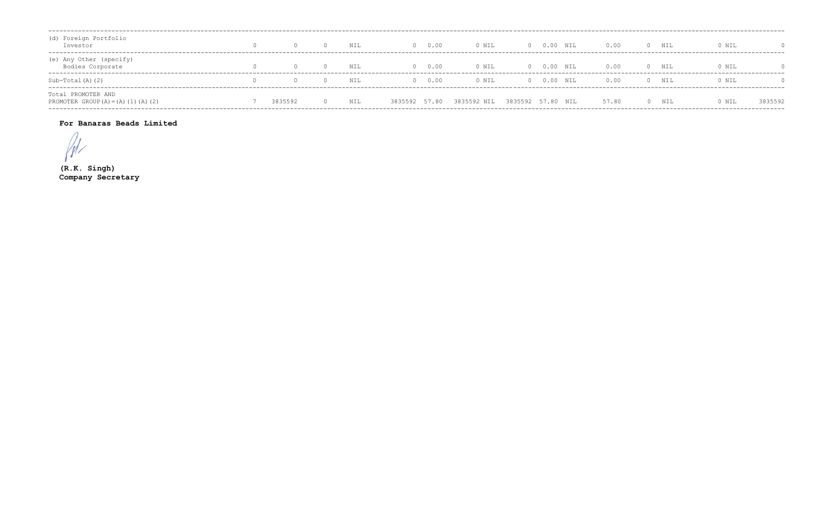| (d) Foreign Portfolio<br>Investor                            |         | NIL | 0 0.00         | 0 NIL       | $0 0.00$ NIL      | 0.00  | $\Omega$ | NIL   | 0 NIL |         |
|--------------------------------------------------------------|---------|-----|----------------|-------------|-------------------|-------|----------|-------|-------|---------|
| (e) Any Other (specify)<br>Bodies Corporate                  |         | NIL | 0 0.00         | 0 NIL       | $0 0.00$ NIL      | 0.00  |          | 0 NIL | 0 NIL |         |
| Sub-Total(A)(2)                                              |         | NIL | 0.00<br>$\cap$ | 0 NIL       | $0 0.00$ NIL      | 0.00  | $\cap$   | NI L  | 0 NIL |         |
| Total PROMOTER AND<br>PROMOTER GROUP $(A) = (A) (1) (A) (2)$ | 3835592 | NIL | 3835592 57.80  | 3835592 NIL | 3835592 57.80 NIL | 57.80 |          | NIL   | 0 NIL | 3835592 |

### For Banaras Beads Limited

 $\sqrt{N}$ 

 $(R.K.$  Singh) Company Secretary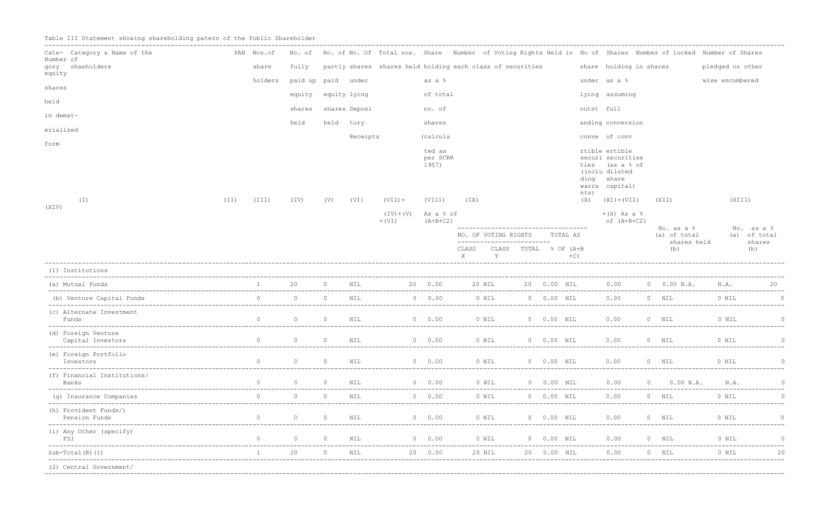Table III Statement showing shareholding patern of the Public Shareholder

| Cate- Category & Name of the<br>Number of |      | PAN Nos.of     |                    |                |               |                          |                             | No. of No. of No. Of Total nos. Share Number of Voting Rights Held in No of Shares Number of locked Number of Shares |                       |               |             |                                                                                                     |                                   |             |                  |                                             |
|-------------------------------------------|------|----------------|--------------------|----------------|---------------|--------------------------|-----------------------------|----------------------------------------------------------------------------------------------------------------------|-----------------------|---------------|-------------|-----------------------------------------------------------------------------------------------------|-----------------------------------|-------------|------------------|---------------------------------------------|
| gory shaeholders<br>equity                |      | share          | fully              |                |               |                          |                             | partly shares shares held holding each class of securities                                                           |                       |               |             | share holding in shares                                                                             |                                   |             | pledged or other |                                             |
| shares                                    |      | holders        | paid up paid under |                |               |                          | as a %                      |                                                                                                                      |                       |               |             | under as a %                                                                                        |                                   |             | wise encumbered  |                                             |
| held                                      |      |                | equity             |                | equity lying  |                          | of total                    |                                                                                                                      |                       |               |             | lying assuming                                                                                      |                                   |             |                  |                                             |
| in demat-                                 |      |                | shares             |                | shares Deposi |                          | no. of                      |                                                                                                                      |                       |               |             | outst full                                                                                          |                                   |             |                  |                                             |
|                                           |      |                | held               |                | held tory     |                          | shares                      |                                                                                                                      |                       |               |             | anding conversion                                                                                   |                                   |             |                  |                                             |
| erialized                                 |      |                |                    |                | Receipts      |                          | (calcula                    |                                                                                                                      |                       |               |             | conve of conv                                                                                       |                                   |             |                  |                                             |
| form                                      |      |                |                    |                |               |                          | ted as<br>per SCRR<br>1957) |                                                                                                                      |                       |               | ties        | rtible ertible<br>securi securities<br>(as a % of<br>(inclu diluted<br>ding share<br>warra capital) |                                   |             |                  |                                             |
| ( I )                                     | (TI) | (III)          | (TV)               | (V)            | (VI)          | $(VII) =$                | (VIII)                      | (TX)                                                                                                                 |                       |               | nts)<br>(X) | $(XI) = (VII)$                                                                                      | (XII)                             |             | (XIII)           |                                             |
| (XIV)                                     |      |                |                    |                |               | $(IV) + (V)$<br>$+$ (VI) | As a % of<br>$(A+B+C2)$     |                                                                                                                      |                       |               |             | $+(X)$ As a $%$<br>of $(A+B+C2)$                                                                    |                                   |             |                  |                                             |
|                                           |      |                |                    |                |               |                          |                             | -----------------------------------<br>NO. OF VOTING RIGHTS<br>--------------------------<br>CLASS                   | CLASS TOTAL % OF (A+B |               | TOTAL AS    |                                                                                                     | No. as a %<br>(a) of total<br>(b) | shares held |                  | No. as a %<br>(a) of total<br>shares<br>(b) |
|                                           |      |                |                    |                |               |                          |                             | X<br>Y                                                                                                               |                       |               | $+C$ )      |                                                                                                     |                                   |             |                  |                                             |
| (1) Institutions                          |      |                |                    |                |               |                          |                             |                                                                                                                      |                       |               |             |                                                                                                     |                                   |             |                  |                                             |
| (a) Mutual Funds                          |      |                | 20                 | $\Omega$       | NIL           |                          | 20 0.00                     | 20 NIL                                                                                                               |                       | 20  0.00  NIL |             | 0.00                                                                                                | $0$ 0.00 N.A.                     |             | N.A.             | 20                                          |
| (b) Venture Capital Funds                 |      | $\Omega$       | $\circ$            | $\circ$        | NIL           |                          | $0 \t 0.00$                 | 0 NIL                                                                                                                |                       | 0 0.00 NIL    |             | 0.00                                                                                                | $0$ NIL                           |             | 0 NIL            | $\Omega$                                    |
| (c) Alternate Investment<br>Funds         |      | $\Omega$       | $\overline{0}$     | $\overline{0}$ | NIL           |                          | $0 \t 0.00$                 | $0$ NIL                                                                                                              |                       | 0 0.00 NIL    |             | 0.00                                                                                                | 0 NIL                             |             | 0 NIL            | $\Omega$                                    |
| (d) Foreign Venture<br>Capital Investors  |      | $\Omega$       | $\circ$            | $\circ$        | NIL           |                          | $0 \t 0.00$                 | 0 NIL                                                                                                                | $00.00$ NIL           |               |             | 0.00                                                                                                | 0 NIL                             |             | 0 NIL            | $\circ$                                     |
| (e) Foreign Portfolio<br>Investors        |      | $\overline{0}$ | $\circ$            | $\overline{0}$ | NIL           |                          | $0 \t 0.00$                 | 0 NIL                                                                                                                |                       | 0 0.00 NIL    |             | 0.00                                                                                                | $0$ NIL                           |             | 0 NIL            | $\Omega$                                    |
| (f) Financial Institutions/<br>Banks      |      | $\Omega$       | $\circ$            | $\overline{0}$ | NIL           |                          | 0 0.00                      | 0 NIL                                                                                                                |                       | 0 0.00 NIL    |             | 0.00                                                                                                | $\sim$ 0                          | $0.00$ N.A. | N.A.             | $\Omega$                                    |
| (g) Insurance Companies                   |      | $\Omega$       | $\Omega$           | $\Omega$       | NIL           |                          | $0 \t 0.00$                 | 0 NIL                                                                                                                |                       | 0 0.00 NIL    |             | 0.00                                                                                                | $0$ NIL                           |             | 0 NIL            |                                             |
| (h) Provident Funds/)<br>Pension Funds    |      |                | $\circ$            | $\Omega$       | NIL           |                          | $0 \t 0.00$                 | 0 NIL                                                                                                                |                       | 0 0.00 NIL    |             | 0.00                                                                                                | 0 NIL                             |             | 0 NIL            |                                             |
| (i) Any Other (specify)<br>FDI            |      | $\circ$        | $\circ$            | $\circ$        | NIL           |                          | 0 0.00                      | 0 NIL                                                                                                                |                       | 0 0.00 NIL    |             | 0.00                                                                                                | 0 NIL                             |             | 0 NIL            |                                             |
| $Sub-Total(B) (1)$                        |      |                | 20                 | $\Omega$       | NIL           |                          | 20 0.00                     | 20 NIL                                                                                                               |                       | 20  0.00  NIL |             | 0.00                                                                                                | $0$ NIL                           |             | 0 NIL            | -----------------<br>20                     |
| (2) Central Government/                   |      |                |                    |                |               |                          |                             |                                                                                                                      |                       |               |             |                                                                                                     |                                   |             |                  |                                             |
|                                           |      |                |                    |                |               |                          |                             |                                                                                                                      |                       |               |             |                                                                                                     |                                   |             |                  |                                             |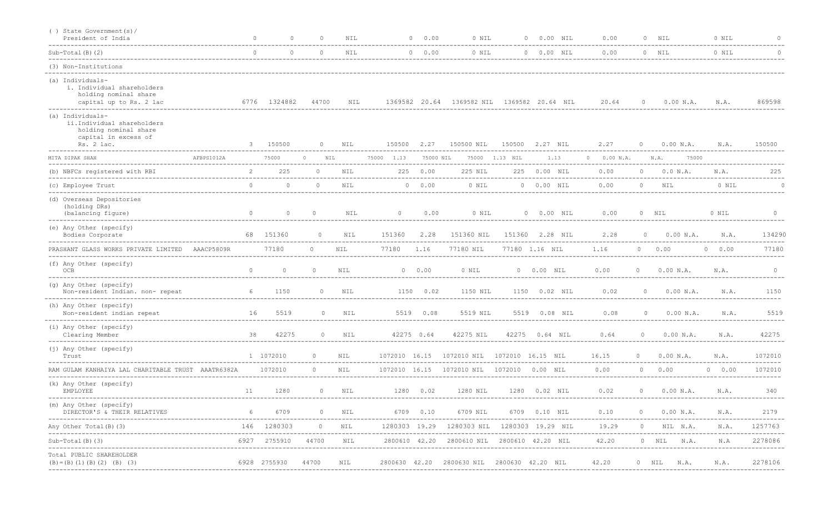| () State Government(s)/<br>President of India                                                                 |            | $\cap$   | $\Omega$     | $\Omega$                     | <b>NIL</b>     |                                      | 0 0.00    | 0 NIL<br>-------------------------------    |                   | 0 0.00 NIL      | 0.00<br>----------                       |                | $0$ NIL              | 0 NIL       | $\Omega$ |
|---------------------------------------------------------------------------------------------------------------|------------|----------|--------------|------------------------------|----------------|--------------------------------------|-----------|---------------------------------------------|-------------------|-----------------|------------------------------------------|----------------|----------------------|-------------|----------|
| $Sub-Total(B) (2)$                                                                                            |            | $\Omega$ | $\Omega$     | $\Omega$                     | <b>NIL</b>     |                                      | 0 0.00    | 0 NIL                                       |                   | 0 0.00 NIL      | 0.00                                     |                | $0$ NIL              | 0 NIL       | $\Omega$ |
| (3) Non-Institutions                                                                                          |            |          |              |                              |                |                                      |           |                                             |                   |                 |                                          |                |                      |             |          |
| (a) Individuals-<br>i. Individual shareholders<br>holding nominal share<br>capital up to Rs. 2 lac            |            |          | 6776 1324882 | 44700                        | NIL            | 1369582 20.64                        |           | 1369582 NIL                                 | 1369582 20.64 NIL |                 | 20.64                                    | $\circ$        | 0.00 N.A.            | N.A.        | 869598   |
| (a) Individuals-<br>ii.Individual shareholders<br>holding nominal share<br>capital in excess of<br>Rs. 2 lac. |            | 3        | 150500       | $\circ$                      | NIL            | 150500                               | 2.27      | 150500 NIL                                  | 150500            | 2.27 NIL        | 2.27                                     | $\circ$        | 0.00 N.A.            | N.A.        | 150500   |
| MITA DIPAK SHAH                                                                                               | AFBPS1012A |          | 75000        | $\circ$                      | NIL            | 75000<br>1.13                        | 75000 NIL |                                             | 75000 1.13 NIL    | 1.13            | $0 \t 0.00 N.A.$                         |                | 75000<br>N.A.        |             |          |
| (b) NBFCs registered with RBI                                                                                 |            |          | 225          | $\circ$                      | <b>NIL</b>     |                                      | 225 0.00  | 225 NIL                                     | 225               | $0.00$ NIL      | 0.00                                     | $\circ$        | 0.0 N.A.             | N.A.        | 225      |
| (c) Employee Trust                                                                                            |            | $\Omega$ | $\Omega$     | $\Omega$                     | $\texttt{NIL}$ |                                      | 0 0.00    | 0 NIL                                       |                   | 0 0.00 NIL      | 0.00                                     | $\Omega$       | $\texttt{NIL}$       | 0 NIL       | $\Omega$ |
| (d) Overseas Depositories<br>(holding DRs)<br>(balancing figure)                                              |            | $\circ$  | $\circ$      | $\circ$                      | NIL            | $\circ$                              | 0.00      | 0 NIL                                       |                   | 0 0.00 NIL      | 0.00                                     |                | $0$ NIL              | 0 NIL       | $\Omega$ |
| (e) Any Other (specify)<br>Bodies Corporate                                                                   |            |          | 68 151360    | $\circ$                      | NIL            | 151360                               | 2.28      | 151360 NIL                                  |                   | 151360 2.28 NIL | 2.28                                     | $\Omega$       | 0.00 N.A.            | N.A.        | 134290   |
| PRASHANT GLASS WORKS PRIVATE LIMITED AAACP5809R                                                               |            |          | 77180        | $\Omega$                     | <b>NIL</b>     | 77180                                | 1.16      | 77180 NIL                                   |                   | 77180 1.16 NTL  | 1.16                                     |                | $0 \t 0.00$          | $0 \t 0.00$ | 77180    |
| (f) Any Other (specify)<br>OCB                                                                                |            | $\circ$  | $\circ$      | $\circ$                      | NIL            |                                      | 0 0.00    | 0 NIL                                       |                   | 0 0.00 NIL      | 0.00                                     |                | 0.00 N.A.            | N.A.        | $\Omega$ |
| (g) Any Other (specify)<br>Non-resident Indian. non- repeat                                                   |            | 6        | 1150         | $\circ$                      | NIL            |                                      | 1150 0.02 | 1150 NIL                                    |                   | 1150  0.02  NIL | 0.02                                     | $\circ$        | 0.00 N.A.            | N.A.        | 1150     |
| (h) Any Other (specify)<br>Non-resident indian repeat                                                         |            | 16       | 5519         | $\Omega$                     | NIL            |                                      | 5519 0.08 | 5519 NIL                                    |                   | 5519 0.08 NIL   | 0.08                                     | $\circ$        | 0.00 N.A.            | N.A.        | 5519     |
| (i) Any Other (specify)<br>Clearing Member                                                                    |            | 38       | 42275        | $\circ$                      | NIL            | 42275 0.64                           |           | 42275 NIL                                   | 42275             | $0.64$ NIL      | 0.64                                     | $\circ$        | 0.00 N.A.            | N.A.        | 42275    |
| (j) Any Other (specify)<br>Trust                                                                              |            |          | 1 1072010    | $\circ$<br>----------------- | NIL            | 1072010 16.15<br>------------------- |           | 1072010 NIL 1072010 16.15 NIL               |                   |                 | 16.15<br>------------------------------- | $\overline{0}$ | 0.00 N.A.            | N.A.        | 1072010  |
| RAM GULAM KANHAIYA LAL CHARITABLE TRUST AAATR6382A                                                            |            |          | 1072010      | $\circ$                      | <b>NIL</b>     |                                      |           | 1072010 16.15 1072010 NIL 1072010 0.00 NIL  |                   |                 | 0.00                                     | $\Omega$       | 0.00                 | $0 \t 0.00$ | 1072010  |
| (k) Any Other (specify)<br>EMPLOYEE                                                                           |            | 11       | 1280         | $\Omega$                     | NIL            | 1280 0.02                            |           | 1280 NIL                                    |                   | 1280  0.02  NIL | 0.02                                     | $\Omega$       | $0.00$ N.A.          | N.A.        | 340      |
| (m) Any Other (specify)<br>DIRECTOR'S & THEIR RELATIVES                                                       |            | 6        | 6709         | $\Omega$                     | NIL            | 6709 0.10                            | --------  | 6709 NIL                                    |                   | 6709  0.10  NIL | 0.10                                     | 0              | 0.00 N.A.<br>------- | N.A.        | 2179     |
| Any Other Total (B) (3)<br>-----------------                                                                  |            |          | 146 1280303  | $\Omega$                     | NIL            | 1280303 19.29                        |           | 1280303 NIL                                 | 1280303 19.29 NIL |                 | 19.29                                    | $\circ$        | NIL N.A.             | N.A.        | 1257763  |
| Sub-Total(B)(3)                                                                                               |            | 6927     | 2755910      | 44700                        | NIL            | 2800610 42.20                        |           | 2800610 NIL 2800610 42.20 NIL               |                   |                 | 42.20                                    |                | $0$ NIL<br>N.A.      | N.A         | 2278086  |
| Total PUBLIC SHAREHOLDER<br>$(B) = (B) (1) (B) (2) (B) (3)$                                                   |            |          | 6928 2755930 | 44700                        | NIL            |                                      |           | 2800630 42.20 2800630 NIL 2800630 42.20 NIL |                   |                 | 42.20                                    |                | 0 NIL N.A.           | N.A.        | 2278106  |